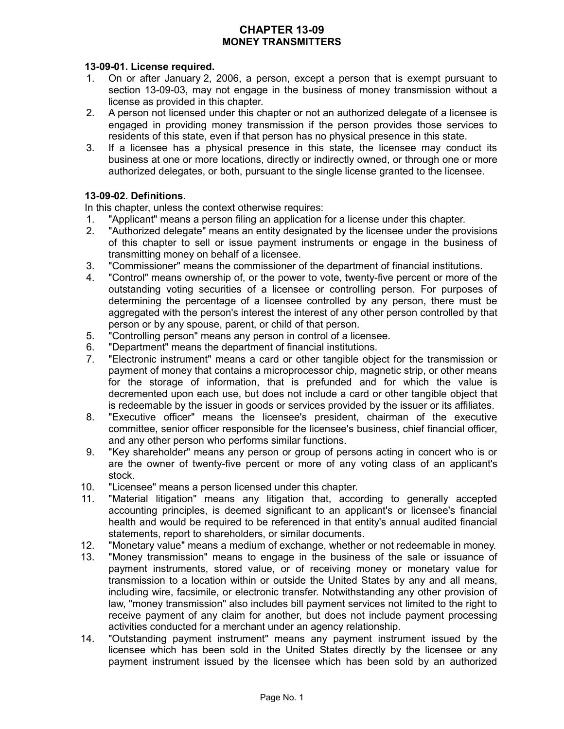## **CHAPTER 13-09 MONEY TRANSMITTERS**

### **13-09-01. License required.**

- 1. On or after January 2, 2006, a person, except a person that is exempt pursuant to section 13-09-03, may not engage in the business of money transmission without a license as provided in this chapter.
- 2. A person not licensed under this chapter or not an authorized delegate of a licensee is engaged in providing money transmission if the person provides those services to residents of this state, even if that person has no physical presence in this state.
- 3. If a licensee has a physical presence in this state, the licensee may conduct its business at one or more locations, directly or indirectly owned, or through one or more authorized delegates, or both, pursuant to the single license granted to the licensee.

#### **13-09-02. Definitions.**

In this chapter, unless the context otherwise requires:

- 1. "Applicant" means a person filing an application for a license under this chapter.
- 2. "Authorized delegate" means an entity designated by the licensee under the provisions of this chapter to sell or issue payment instruments or engage in the business of transmitting money on behalf of a licensee.
- 3. "Commissioner" means the commissioner of the department of financial institutions.<br>4. "Control" means ownership of or the power to vote, twenty-five percent or more of t
- "Control" means ownership of, or the power to vote, twenty-five percent or more of the outstanding voting securities of a licensee or controlling person. For purposes of determining the percentage of a licensee controlled by any person, there must be aggregated with the person's interest the interest of any other person controlled by that person or by any spouse, parent, or child of that person.
- 5. "Controlling person" means any person in control of a licensee.
- 6. "Department" means the department of financial institutions.
- 7. "Electronic instrument" means a card or other tangible object for the transmission or payment of money that contains a microprocessor chip, magnetic strip, or other means for the storage of information, that is prefunded and for which the value is decremented upon each use, but does not include a card or other tangible object that is redeemable by the issuer in goods or services provided by the issuer or its affiliates.
- 8. "Executive officer" means the licensee's president, chairman of the executive committee, senior officer responsible for the licensee's business, chief financial officer, and any other person who performs similar functions.
- 9. "Key shareholder" means any person or group of persons acting in concert who is or are the owner of twenty-five percent or more of any voting class of an applicant's stock.
- 10. "Licensee" means a person licensed under this chapter.
- 11. "Material litigation" means any litigation that, according to generally accepted accounting principles, is deemed significant to an applicant's or licensee's financial health and would be required to be referenced in that entity's annual audited financial statements, report to shareholders, or similar documents.
- 12. "Monetary value" means a medium of exchange, whether or not redeemable in money.
- 13. "Money transmission" means to engage in the business of the sale or issuance of payment instruments, stored value, or of receiving money or monetary value for transmission to a location within or outside the United States by any and all means, including wire, facsimile, or electronic transfer. Notwithstanding any other provision of law, "money transmission" also includes bill payment services not limited to the right to receive payment of any claim for another, but does not include payment processing activities conducted for a merchant under an agency relationship.
- 14. "Outstanding payment instrument" means any payment instrument issued by the licensee which has been sold in the United States directly by the licensee or any payment instrument issued by the licensee which has been sold by an authorized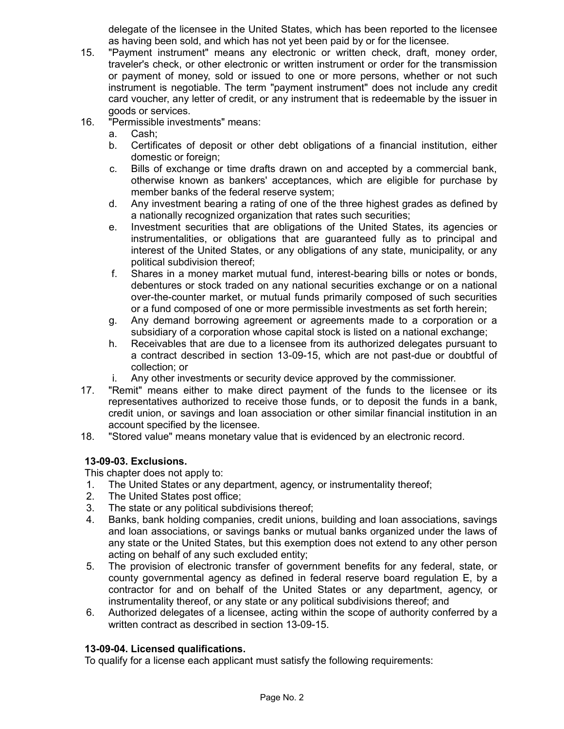delegate of the licensee in the United States, which has been reported to the licensee as having been sold, and which has not yet been paid by or for the licensee.

- 15. "Payment instrument" means any electronic or written check, draft, money order, traveler's check, or other electronic or written instrument or order for the transmission or payment of money, sold or issued to one or more persons, whether or not such instrument is negotiable. The term "payment instrument" does not include any credit card voucher, any letter of credit, or any instrument that is redeemable by the issuer in goods or services.
- 16. "Permissible investments" means:
	- a. Cash;
	- b. Certificates of deposit or other debt obligations of a financial institution, either domestic or foreign;
	- c. Bills of exchange or time drafts drawn on and accepted by a commercial bank, otherwise known as bankers' acceptances, which are eligible for purchase by member banks of the federal reserve system;
	- d. Any investment bearing a rating of one of the three highest grades as defined by a nationally recognized organization that rates such securities;
	- e. Investment securities that are obligations of the United States, its agencies or instrumentalities, or obligations that are guaranteed fully as to principal and interest of the United States, or any obligations of any state, municipality, or any political subdivision thereof;
	- f. Shares in a money market mutual fund, interest-bearing bills or notes or bonds, debentures or stock traded on any national securities exchange or on a national over-the-counter market, or mutual funds primarily composed of such securities or a fund composed of one or more permissible investments as set forth herein;
	- g. Any demand borrowing agreement or agreements made to a corporation or a subsidiary of a corporation whose capital stock is listed on a national exchange;
	- h. Receivables that are due to a licensee from its authorized delegates pursuant to a contract described in section 13-09-15, which are not past-due or doubtful of collection; or
		- Any other investments or security device approved by the commissioner.
- 17. "Remit" means either to make direct payment of the funds to the licensee or its representatives authorized to receive those funds, or to deposit the funds in a bank, credit union, or savings and loan association or other similar financial institution in an account specified by the licensee.
- 18. "Stored value" means monetary value that is evidenced by an electronic record.

# **13-09-03. Exclusions.**

This chapter does not apply to:

- 1. The United States or any department, agency, or instrumentality thereof;
- 2. The United States post office;
- 3. The state or any political subdivisions thereof;
- 4. Banks, bank holding companies, credit unions, building and loan associations, savings and loan associations, or savings banks or mutual banks organized under the laws of any state or the United States, but this exemption does not extend to any other person acting on behalf of any such excluded entity;
- 5. The provision of electronic transfer of government benefits for any federal, state, or county governmental agency as defined in federal reserve board regulation E, by a contractor for and on behalf of the United States or any department, agency, or instrumentality thereof, or any state or any political subdivisions thereof; and
- 6. Authorized delegates of a licensee, acting within the scope of authority conferred by a written contract as described in section 13-09-15.

# **13-09-04. Licensed qualifications.**

To qualify for a license each applicant must satisfy the following requirements: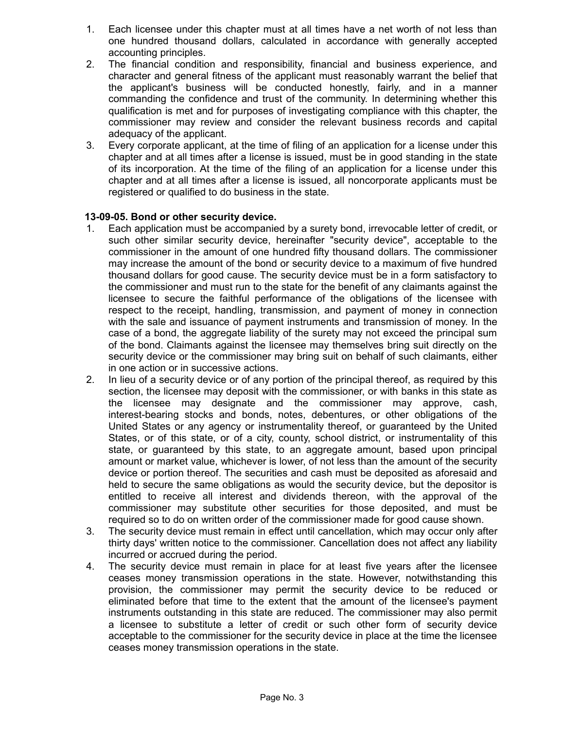- 1. Each licensee under this chapter must at all times have a net worth of not less than one hundred thousand dollars, calculated in accordance with generally accepted accounting principles.
- 2. The financial condition and responsibility, financial and business experience, and character and general fitness of the applicant must reasonably warrant the belief that the applicant's business will be conducted honestly, fairly, and in a manner commanding the confidence and trust of the community. In determining whether this qualification is met and for purposes of investigating compliance with this chapter, the commissioner may review and consider the relevant business records and capital adequacy of the applicant.
- 3. Every corporate applicant, at the time of filing of an application for a license under this chapter and at all times after a license is issued, must be in good standing in the state of its incorporation. At the time of the filing of an application for a license under this chapter and at all times after a license is issued, all noncorporate applicants must be registered or qualified to do business in the state.

#### **13-09-05. Bond or other security device.**

- 1. Each application must be accompanied by a surety bond, irrevocable letter of credit, or such other similar security device, hereinafter "security device", acceptable to the commissioner in the amount of one hundred fifty thousand dollars. The commissioner may increase the amount of the bond or security device to a maximum of five hundred thousand dollars for good cause. The security device must be in a form satisfactory to the commissioner and must run to the state for the benefit of any claimants against the licensee to secure the faithful performance of the obligations of the licensee with respect to the receipt, handling, transmission, and payment of money in connection with the sale and issuance of payment instruments and transmission of money. In the case of a bond, the aggregate liability of the surety may not exceed the principal sum of the bond. Claimants against the licensee may themselves bring suit directly on the security device or the commissioner may bring suit on behalf of such claimants, either in one action or in successive actions.
- 2. In lieu of a security device or of any portion of the principal thereof, as required by this section, the licensee may deposit with the commissioner, or with banks in this state as the licensee may designate and the commissioner may approve, cash, interest-bearing stocks and bonds, notes, debentures, or other obligations of the United States or any agency or instrumentality thereof, or guaranteed by the United States, or of this state, or of a city, county, school district, or instrumentality of this state, or guaranteed by this state, to an aggregate amount, based upon principal amount or market value, whichever is lower, of not less than the amount of the security device or portion thereof. The securities and cash must be deposited as aforesaid and held to secure the same obligations as would the security device, but the depositor is entitled to receive all interest and dividends thereon, with the approval of the commissioner may substitute other securities for those deposited, and must be required so to do on written order of the commissioner made for good cause shown.
- 3. The security device must remain in effect until cancellation, which may occur only after thirty days' written notice to the commissioner. Cancellation does not affect any liability incurred or accrued during the period.
- 4. The security device must remain in place for at least five years after the licensee ceases money transmission operations in the state. However, notwithstanding this provision, the commissioner may permit the security device to be reduced or eliminated before that time to the extent that the amount of the licensee's payment instruments outstanding in this state are reduced. The commissioner may also permit a licensee to substitute a letter of credit or such other form of security device acceptable to the commissioner for the security device in place at the time the licensee ceases money transmission operations in the state.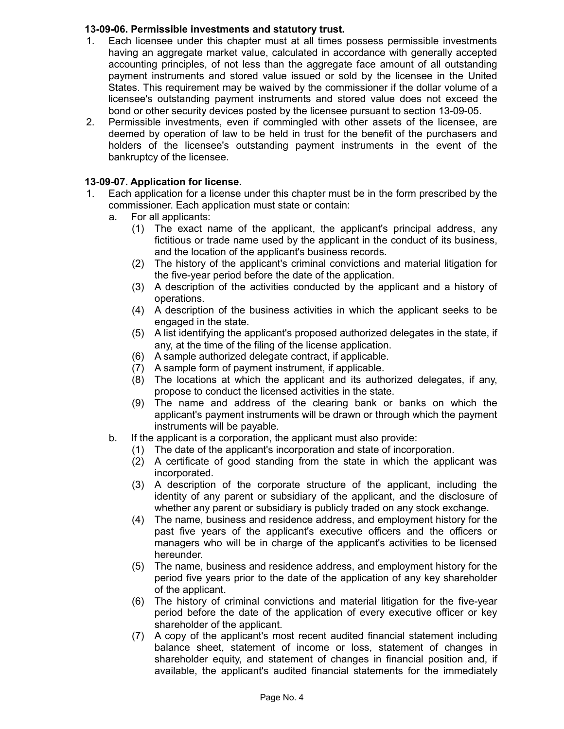### **13-09-06. Permissible investments and statutory trust.**

- 1. Each licensee under this chapter must at all times possess permissible investments having an aggregate market value, calculated in accordance with generally accepted accounting principles, of not less than the aggregate face amount of all outstanding payment instruments and stored value issued or sold by the licensee in the United States. This requirement may be waived by the commissioner if the dollar volume of a licensee's outstanding payment instruments and stored value does not exceed the bond or other security devices posted by the licensee pursuant to section 13-09-05.
- 2. Permissible investments, even if commingled with other assets of the licensee, are deemed by operation of law to be held in trust for the benefit of the purchasers and holders of the licensee's outstanding payment instruments in the event of the bankruptcy of the licensee.

## **13-09-07. Application for license.**

- 1. Each application for a license under this chapter must be in the form prescribed by the commissioner. Each application must state or contain:
	- a. For all applicants:
		- (1) The exact name of the applicant, the applicant's principal address, any fictitious or trade name used by the applicant in the conduct of its business, and the location of the applicant's business records.
		- (2) The history of the applicant's criminal convictions and material litigation for the five-year period before the date of the application.
		- (3) A description of the activities conducted by the applicant and a history of operations.
		- (4) A description of the business activities in which the applicant seeks to be engaged in the state.
		- (5) A list identifying the applicant's proposed authorized delegates in the state, if any, at the time of the filing of the license application.
		- (6) A sample authorized delegate contract, if applicable.
		- (7) A sample form of payment instrument, if applicable.
		- (8) The locations at which the applicant and its authorized delegates, if any, propose to conduct the licensed activities in the state.
		- (9) The name and address of the clearing bank or banks on which the applicant's payment instruments will be drawn or through which the payment instruments will be payable.
	- b. If the applicant is a corporation, the applicant must also provide:
		- (1) The date of the applicant's incorporation and state of incorporation.
		- (2) A certificate of good standing from the state in which the applicant was incorporated.
		- (3) A description of the corporate structure of the applicant, including the identity of any parent or subsidiary of the applicant, and the disclosure of whether any parent or subsidiary is publicly traded on any stock exchange.
		- (4) The name, business and residence address, and employment history for the past five years of the applicant's executive officers and the officers or managers who will be in charge of the applicant's activities to be licensed hereunder.
		- (5) The name, business and residence address, and employment history for the period five years prior to the date of the application of any key shareholder of the applicant.
		- (6) The history of criminal convictions and material litigation for the five-year period before the date of the application of every executive officer or key shareholder of the applicant.
		- (7) A copy of the applicant's most recent audited financial statement including balance sheet, statement of income or loss, statement of changes in shareholder equity, and statement of changes in financial position and, if available, the applicant's audited financial statements for the immediately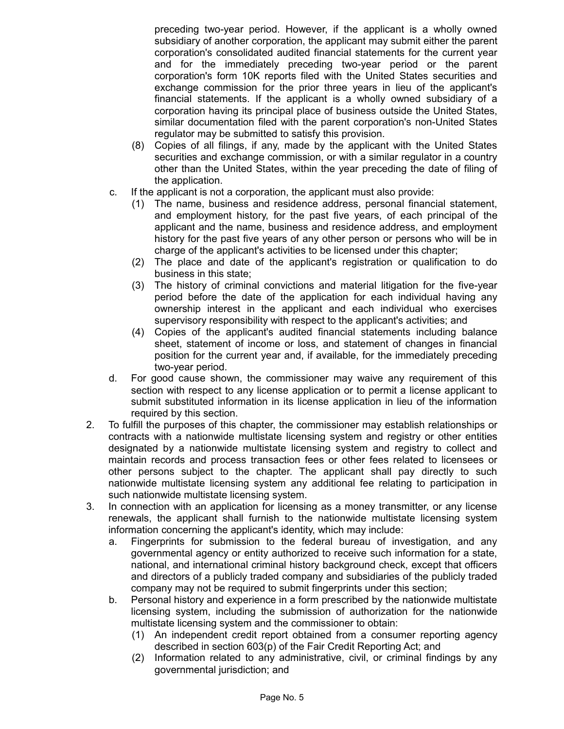preceding two-year period. However, if the applicant is a wholly owned subsidiary of another corporation, the applicant may submit either the parent corporation's consolidated audited financial statements for the current year and for the immediately preceding two-year period or the parent corporation's form 10K reports filed with the United States securities and exchange commission for the prior three years in lieu of the applicant's financial statements. If the applicant is a wholly owned subsidiary of a corporation having its principal place of business outside the United States, similar documentation filed with the parent corporation's non-United States regulator may be submitted to satisfy this provision.

- (8) Copies of all filings, if any, made by the applicant with the United States securities and exchange commission, or with a similar regulator in a country other than the United States, within the year preceding the date of filing of the application.
- c. If the applicant is not a corporation, the applicant must also provide:
	- (1) The name, business and residence address, personal financial statement, and employment history, for the past five years, of each principal of the applicant and the name, business and residence address, and employment history for the past five years of any other person or persons who will be in charge of the applicant's activities to be licensed under this chapter;
	- (2) The place and date of the applicant's registration or qualification to do business in this state;
	- (3) The history of criminal convictions and material litigation for the five-year period before the date of the application for each individual having any ownership interest in the applicant and each individual who exercises supervisory responsibility with respect to the applicant's activities; and
	- (4) Copies of the applicant's audited financial statements including balance sheet, statement of income or loss, and statement of changes in financial position for the current year and, if available, for the immediately preceding two-year period.
- d. For good cause shown, the commissioner may waive any requirement of this section with respect to any license application or to permit a license applicant to submit substituted information in its license application in lieu of the information required by this section.
- 2. To fulfill the purposes of this chapter, the commissioner may establish relationships or contracts with a nationwide multistate licensing system and registry or other entities designated by a nationwide multistate licensing system and registry to collect and maintain records and process transaction fees or other fees related to licensees or other persons subject to the chapter. The applicant shall pay directly to such nationwide multistate licensing system any additional fee relating to participation in such nationwide multistate licensing system.
- 3. In connection with an application for licensing as a money transmitter, or any license renewals, the applicant shall furnish to the nationwide multistate licensing system information concerning the applicant's identity, which may include:
	- a. Fingerprints for submission to the federal bureau of investigation, and any governmental agency or entity authorized to receive such information for a state, national, and international criminal history background check, except that officers and directors of a publicly traded company and subsidiaries of the publicly traded company may not be required to submit fingerprints under this section;
	- b. Personal history and experience in a form prescribed by the nationwide multistate licensing system, including the submission of authorization for the nationwide multistate licensing system and the commissioner to obtain:
		- (1) An independent credit report obtained from a consumer reporting agency described in section 603(p) of the Fair Credit Reporting Act; and
		- (2) Information related to any administrative, civil, or criminal findings by any governmental jurisdiction; and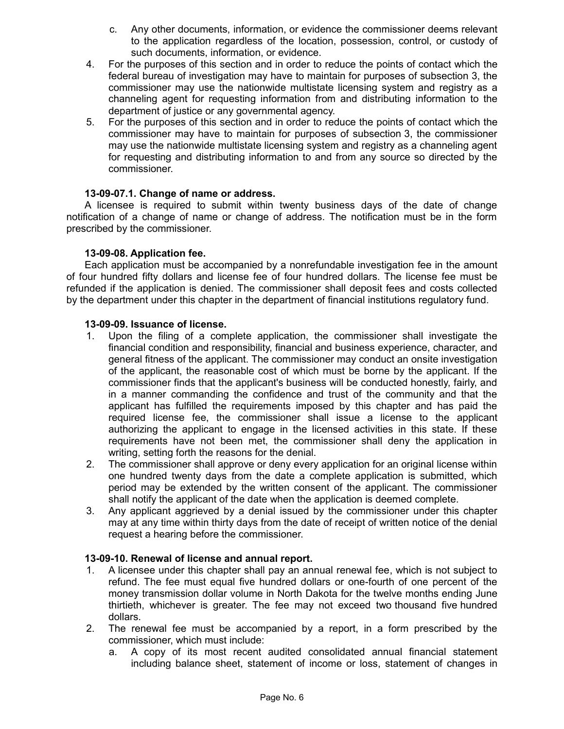- c. Any other documents, information, or evidence the commissioner deems relevant to the application regardless of the location, possession, control, or custody of such documents, information, or evidence.
- 4. For the purposes of this section and in order to reduce the points of contact which the federal bureau of investigation may have to maintain for purposes of subsection 3, the commissioner may use the nationwide multistate licensing system and registry as a channeling agent for requesting information from and distributing information to the department of justice or any governmental agency.
- 5. For the purposes of this section and in order to reduce the points of contact which the commissioner may have to maintain for purposes of subsection 3, the commissioner may use the nationwide multistate licensing system and registry as a channeling agent for requesting and distributing information to and from any source so directed by the commissioner.

## **13-09-07.1. Change of name or address.**

A licensee is required to submit within twenty business days of the date of change notification of a change of name or change of address. The notification must be in the form prescribed by the commissioner.

#### **13-09-08. Application fee.**

Each application must be accompanied by a nonrefundable investigation fee in the amount of four hundred fifty dollars and license fee of four hundred dollars. The license fee must be refunded if the application is denied. The commissioner shall deposit fees and costs collected by the department under this chapter in the department of financial institutions regulatory fund.

#### **13-09-09. Issuance of license.**

- 1. Upon the filing of a complete application, the commissioner shall investigate the financial condition and responsibility, financial and business experience, character, and general fitness of the applicant. The commissioner may conduct an onsite investigation of the applicant, the reasonable cost of which must be borne by the applicant. If the commissioner finds that the applicant's business will be conducted honestly, fairly, and in a manner commanding the confidence and trust of the community and that the applicant has fulfilled the requirements imposed by this chapter and has paid the required license fee, the commissioner shall issue a license to the applicant authorizing the applicant to engage in the licensed activities in this state. If these requirements have not been met, the commissioner shall deny the application in writing, setting forth the reasons for the denial.
- 2. The commissioner shall approve or deny every application for an original license within one hundred twenty days from the date a complete application is submitted, which period may be extended by the written consent of the applicant. The commissioner shall notify the applicant of the date when the application is deemed complete.
- 3. Any applicant aggrieved by a denial issued by the commissioner under this chapter may at any time within thirty days from the date of receipt of written notice of the denial request a hearing before the commissioner.

## **13-09-10. Renewal of license and annual report.**

- 1. A licensee under this chapter shall pay an annual renewal fee, which is not subject to refund. The fee must equal five hundred dollars or one-fourth of one percent of the money transmission dollar volume in North Dakota for the twelve months ending June thirtieth, whichever is greater. The fee may not exceed two thousand five hundred dollars.
- 2. The renewal fee must be accompanied by a report, in a form prescribed by the commissioner, which must include:
	- a. A copy of its most recent audited consolidated annual financial statement including balance sheet, statement of income or loss, statement of changes in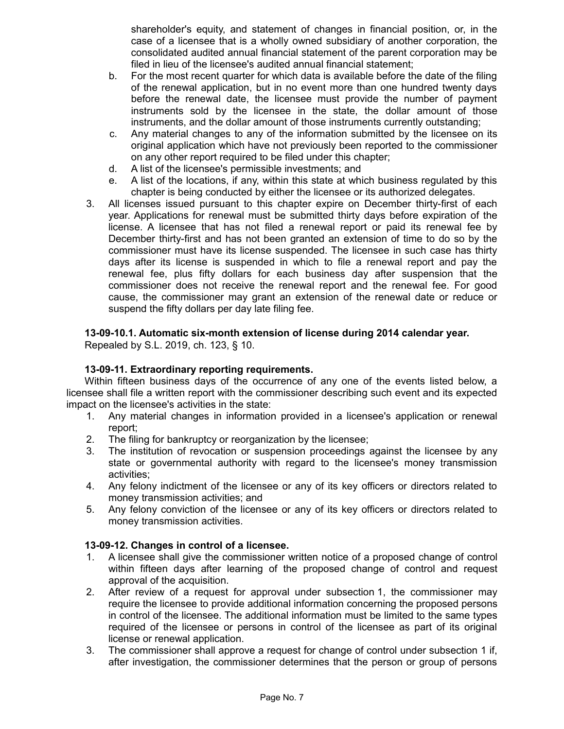shareholder's equity, and statement of changes in financial position, or, in the case of a licensee that is a wholly owned subsidiary of another corporation, the consolidated audited annual financial statement of the parent corporation may be filed in lieu of the licensee's audited annual financial statement;

- b. For the most recent quarter for which data is available before the date of the filing of the renewal application, but in no event more than one hundred twenty days before the renewal date, the licensee must provide the number of payment instruments sold by the licensee in the state, the dollar amount of those instruments, and the dollar amount of those instruments currently outstanding;
- c. Any material changes to any of the information submitted by the licensee on its original application which have not previously been reported to the commissioner on any other report required to be filed under this chapter;
- d. A list of the licensee's permissible investments; and
- e. A list of the locations, if any, within this state at which business regulated by this chapter is being conducted by either the licensee or its authorized delegates.
- 3. All licenses issued pursuant to this chapter expire on December thirty-first of each year. Applications for renewal must be submitted thirty days before expiration of the license. A licensee that has not filed a renewal report or paid its renewal fee by December thirty-first and has not been granted an extension of time to do so by the commissioner must have its license suspended. The licensee in such case has thirty days after its license is suspended in which to file a renewal report and pay the renewal fee, plus fifty dollars for each business day after suspension that the commissioner does not receive the renewal report and the renewal fee. For good cause, the commissioner may grant an extension of the renewal date or reduce or suspend the fifty dollars per day late filing fee.

## **13-09-10.1. Automatic six-month extension of license during 2014 calendar year.**

Repealed by S.L. 2019, ch. 123, § 10.

## **13-09-11. Extraordinary reporting requirements.**

Within fifteen business days of the occurrence of any one of the events listed below, a licensee shall file a written report with the commissioner describing such event and its expected impact on the licensee's activities in the state:

- 1. Any material changes in information provided in a licensee's application or renewal report;
- 2. The filing for bankruptcy or reorganization by the licensee;
- 3. The institution of revocation or suspension proceedings against the licensee by any state or governmental authority with regard to the licensee's money transmission activities;
- 4. Any felony indictment of the licensee or any of its key officers or directors related to money transmission activities; and
- 5. Any felony conviction of the licensee or any of its key officers or directors related to money transmission activities.

## **13-09-12. Changes in control of a licensee.**

- 1. A licensee shall give the commissioner written notice of a proposed change of control within fifteen days after learning of the proposed change of control and request approval of the acquisition.
- 2. After review of a request for approval under subsection 1, the commissioner may require the licensee to provide additional information concerning the proposed persons in control of the licensee. The additional information must be limited to the same types required of the licensee or persons in control of the licensee as part of its original license or renewal application.
- 3. The commissioner shall approve a request for change of control under subsection 1 if, after investigation, the commissioner determines that the person or group of persons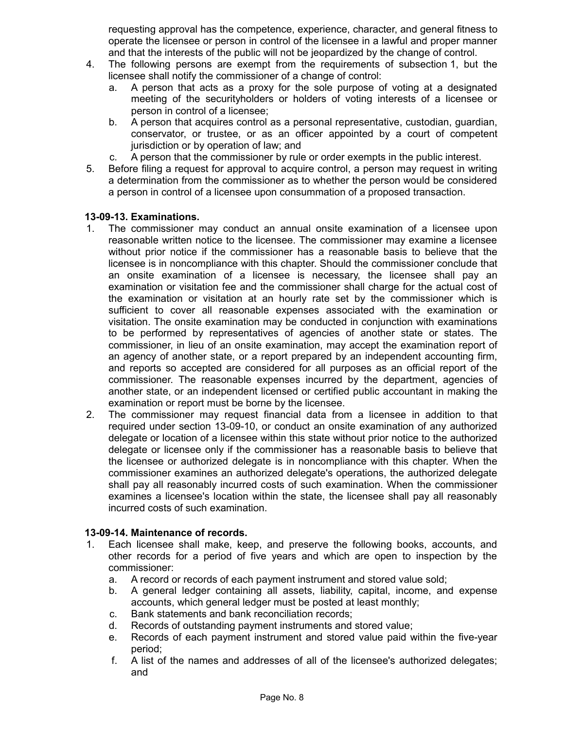requesting approval has the competence, experience, character, and general fitness to operate the licensee or person in control of the licensee in a lawful and proper manner and that the interests of the public will not be jeopardized by the change of control.

- 4. The following persons are exempt from the requirements of subsection 1, but the licensee shall notify the commissioner of a change of control:
	- a. A person that acts as a proxy for the sole purpose of voting at a designated meeting of the securityholders or holders of voting interests of a licensee or person in control of a licensee;
	- b. A person that acquires control as a personal representative, custodian, guardian, conservator, or trustee, or as an officer appointed by a court of competent jurisdiction or by operation of law; and
	- c. A person that the commissioner by rule or order exempts in the public interest.
- 5. Before filing a request for approval to acquire control, a person may request in writing a determination from the commissioner as to whether the person would be considered a person in control of a licensee upon consummation of a proposed transaction.

#### **13-09-13. Examinations.**

- 1. The commissioner may conduct an annual onsite examination of a licensee upon reasonable written notice to the licensee. The commissioner may examine a licensee without prior notice if the commissioner has a reasonable basis to believe that the licensee is in noncompliance with this chapter. Should the commissioner conclude that an onsite examination of a licensee is necessary, the licensee shall pay an examination or visitation fee and the commissioner shall charge for the actual cost of the examination or visitation at an hourly rate set by the commissioner which is sufficient to cover all reasonable expenses associated with the examination or visitation. The onsite examination may be conducted in conjunction with examinations to be performed by representatives of agencies of another state or states. The commissioner, in lieu of an onsite examination, may accept the examination report of an agency of another state, or a report prepared by an independent accounting firm, and reports so accepted are considered for all purposes as an official report of the commissioner. The reasonable expenses incurred by the department, agencies of another state, or an independent licensed or certified public accountant in making the examination or report must be borne by the licensee.
- 2. The commissioner may request financial data from a licensee in addition to that required under section 13-09-10, or conduct an onsite examination of any authorized delegate or location of a licensee within this state without prior notice to the authorized delegate or licensee only if the commissioner has a reasonable basis to believe that the licensee or authorized delegate is in noncompliance with this chapter. When the commissioner examines an authorized delegate's operations, the authorized delegate shall pay all reasonably incurred costs of such examination. When the commissioner examines a licensee's location within the state, the licensee shall pay all reasonably incurred costs of such examination.

## **13-09-14. Maintenance of records.**

- 1. Each licensee shall make, keep, and preserve the following books, accounts, and other records for a period of five years and which are open to inspection by the commissioner:
	- a. A record or records of each payment instrument and stored value sold;
	- b. A general ledger containing all assets, liability, capital, income, and expense accounts, which general ledger must be posted at least monthly;
	- c. Bank statements and bank reconciliation records;
	- d. Records of outstanding payment instruments and stored value;
	- e. Records of each payment instrument and stored value paid within the five-year period;
	- f. A list of the names and addresses of all of the licensee's authorized delegates; and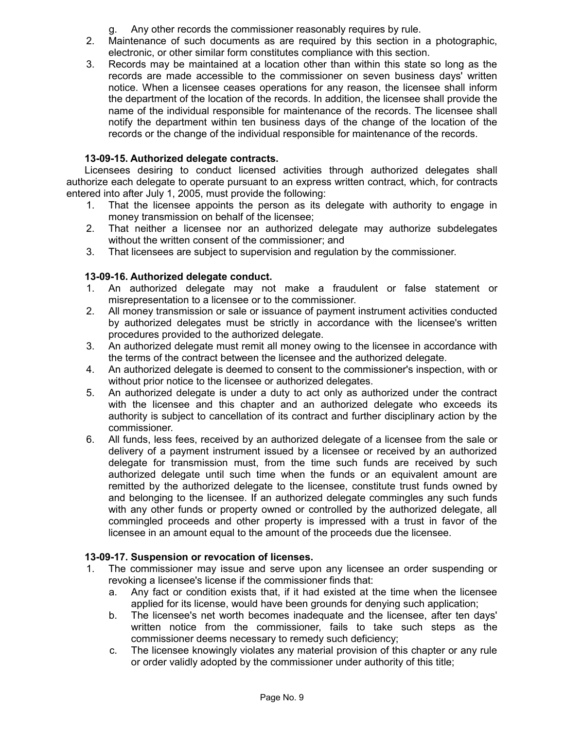g. Any other records the commissioner reasonably requires by rule.

- 2. Maintenance of such documents as are required by this section in a photographic, electronic, or other similar form constitutes compliance with this section.
- 3. Records may be maintained at a location other than within this state so long as the records are made accessible to the commissioner on seven business days' written notice. When a licensee ceases operations for any reason, the licensee shall inform the department of the location of the records. In addition, the licensee shall provide the name of the individual responsible for maintenance of the records. The licensee shall notify the department within ten business days of the change of the location of the records or the change of the individual responsible for maintenance of the records.

# **13-09-15. Authorized delegate contracts.**

Licensees desiring to conduct licensed activities through authorized delegates shall authorize each delegate to operate pursuant to an express written contract, which, for contracts entered into after July 1, 2005, must provide the following:

- 1. That the licensee appoints the person as its delegate with authority to engage in money transmission on behalf of the licensee;
- 2. That neither a licensee nor an authorized delegate may authorize subdelegates without the written consent of the commissioner; and
- 3. That licensees are subject to supervision and regulation by the commissioner.

# **13-09-16. Authorized delegate conduct.**

- 1. An authorized delegate may not make a fraudulent or false statement or misrepresentation to a licensee or to the commissioner.
- 2. All money transmission or sale or issuance of payment instrument activities conducted by authorized delegates must be strictly in accordance with the licensee's written procedures provided to the authorized delegate.
- 3. An authorized delegate must remit all money owing to the licensee in accordance with the terms of the contract between the licensee and the authorized delegate.
- 4. An authorized delegate is deemed to consent to the commissioner's inspection, with or without prior notice to the licensee or authorized delegates.
- 5. An authorized delegate is under a duty to act only as authorized under the contract with the licensee and this chapter and an authorized delegate who exceeds its authority is subject to cancellation of its contract and further disciplinary action by the commissioner.
- 6. All funds, less fees, received by an authorized delegate of a licensee from the sale or delivery of a payment instrument issued by a licensee or received by an authorized delegate for transmission must, from the time such funds are received by such authorized delegate until such time when the funds or an equivalent amount are remitted by the authorized delegate to the licensee, constitute trust funds owned by and belonging to the licensee. If an authorized delegate commingles any such funds with any other funds or property owned or controlled by the authorized delegate, all commingled proceeds and other property is impressed with a trust in favor of the licensee in an amount equal to the amount of the proceeds due the licensee.

# **13-09-17. Suspension or revocation of licenses.**

- 1. The commissioner may issue and serve upon any licensee an order suspending or revoking a licensee's license if the commissioner finds that:
	- a. Any fact or condition exists that, if it had existed at the time when the licensee applied for its license, would have been grounds for denying such application;
	- b. The licensee's net worth becomes inadequate and the licensee, after ten days' written notice from the commissioner, fails to take such steps as the commissioner deems necessary to remedy such deficiency;
	- c. The licensee knowingly violates any material provision of this chapter or any rule or order validly adopted by the commissioner under authority of this title;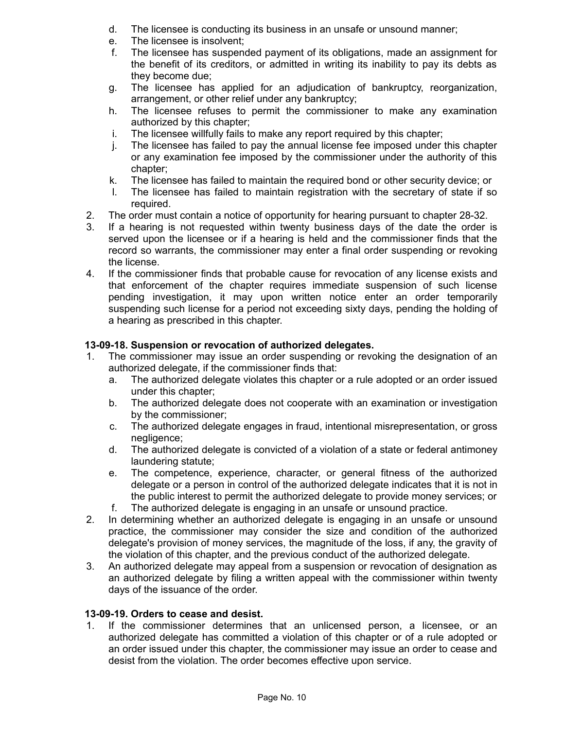- d. The licensee is conducting its business in an unsafe or unsound manner;
- e. The licensee is insolvent;
- f. The licensee has suspended payment of its obligations, made an assignment for the benefit of its creditors, or admitted in writing its inability to pay its debts as they become due;
- g. The licensee has applied for an adjudication of bankruptcy, reorganization, arrangement, or other relief under any bankruptcy;
- h. The licensee refuses to permit the commissioner to make any examination authorized by this chapter;
- i. The licensee willfully fails to make any report required by this chapter;
- j. The licensee has failed to pay the annual license fee imposed under this chapter or any examination fee imposed by the commissioner under the authority of this chapter;
- k. The licensee has failed to maintain the required bond or other security device; or
- The licensee has failed to maintain registration with the secretary of state if so required.
- 2. The order must contain a notice of opportunity for hearing pursuant to chapter 28-32.
- 3. If a hearing is not requested within twenty business days of the date the order is served upon the licensee or if a hearing is held and the commissioner finds that the record so warrants, the commissioner may enter a final order suspending or revoking the license.
- 4. If the commissioner finds that probable cause for revocation of any license exists and that enforcement of the chapter requires immediate suspension of such license pending investigation, it may upon written notice enter an order temporarily suspending such license for a period not exceeding sixty days, pending the holding of a hearing as prescribed in this chapter.

## **13-09-18. Suspension or revocation of authorized delegates.**

- 1. The commissioner may issue an order suspending or revoking the designation of an authorized delegate, if the commissioner finds that:
	- a. The authorized delegate violates this chapter or a rule adopted or an order issued under this chapter;
	- b. The authorized delegate does not cooperate with an examination or investigation by the commissioner;
	- c. The authorized delegate engages in fraud, intentional misrepresentation, or gross negligence;
	- d. The authorized delegate is convicted of a violation of a state or federal antimoney laundering statute;
	- e. The competence, experience, character, or general fitness of the authorized delegate or a person in control of the authorized delegate indicates that it is not in the public interest to permit the authorized delegate to provide money services; or
	- f. The authorized delegate is engaging in an unsafe or unsound practice.
- 2. In determining whether an authorized delegate is engaging in an unsafe or unsound practice, the commissioner may consider the size and condition of the authorized delegate's provision of money services, the magnitude of the loss, if any, the gravity of the violation of this chapter, and the previous conduct of the authorized delegate.
- 3. An authorized delegate may appeal from a suspension or revocation of designation as an authorized delegate by filing a written appeal with the commissioner within twenty days of the issuance of the order.

## **13-09-19. Orders to cease and desist.**

1. If the commissioner determines that an unlicensed person, a licensee, or an authorized delegate has committed a violation of this chapter or of a rule adopted or an order issued under this chapter, the commissioner may issue an order to cease and desist from the violation. The order becomes effective upon service.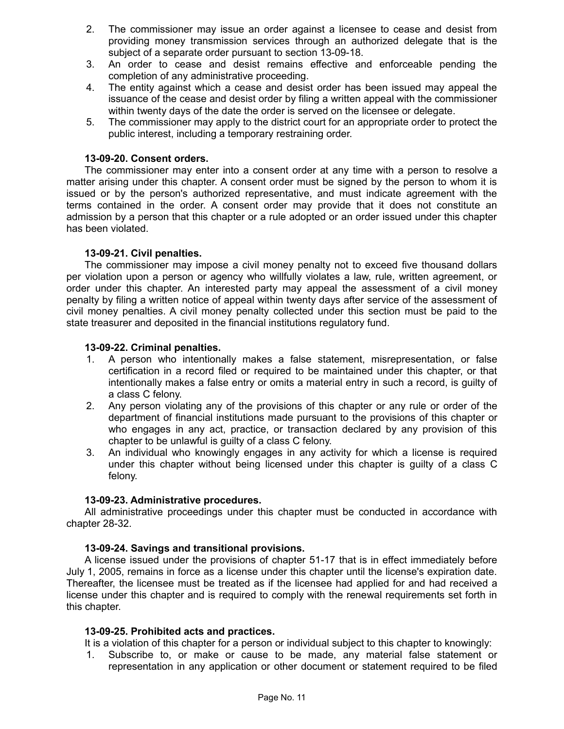- 2. The commissioner may issue an order against a licensee to cease and desist from providing money transmission services through an authorized delegate that is the subject of a separate order pursuant to section 13-09-18.
- 3. An order to cease and desist remains effective and enforceable pending the completion of any administrative proceeding.
- 4. The entity against which a cease and desist order has been issued may appeal the issuance of the cease and desist order by filing a written appeal with the commissioner within twenty days of the date the order is served on the licensee or delegate.
- 5. The commissioner may apply to the district court for an appropriate order to protect the public interest, including a temporary restraining order.

#### **13-09-20. Consent orders.**

The commissioner may enter into a consent order at any time with a person to resolve a matter arising under this chapter. A consent order must be signed by the person to whom it is issued or by the person's authorized representative, and must indicate agreement with the terms contained in the order. A consent order may provide that it does not constitute an admission by a person that this chapter or a rule adopted or an order issued under this chapter has been violated.

#### **13-09-21. Civil penalties.**

The commissioner may impose a civil money penalty not to exceed five thousand dollars per violation upon a person or agency who willfully violates a law, rule, written agreement, or order under this chapter. An interested party may appeal the assessment of a civil money penalty by filing a written notice of appeal within twenty days after service of the assessment of civil money penalties. A civil money penalty collected under this section must be paid to the state treasurer and deposited in the financial institutions regulatory fund.

#### **13-09-22. Criminal penalties.**

- 1. A person who intentionally makes a false statement, misrepresentation, or false certification in a record filed or required to be maintained under this chapter, or that intentionally makes a false entry or omits a material entry in such a record, is guilty of a class C felony.
- 2. Any person violating any of the provisions of this chapter or any rule or order of the department of financial institutions made pursuant to the provisions of this chapter or who engages in any act, practice, or transaction declared by any provision of this chapter to be unlawful is guilty of a class C felony.
- 3. An individual who knowingly engages in any activity for which a license is required under this chapter without being licensed under this chapter is guilty of a class C felony.

## **13-09-23. Administrative procedures.**

All administrative proceedings under this chapter must be conducted in accordance with chapter 28-32.

#### **13-09-24. Savings and transitional provisions.**

A license issued under the provisions of chapter 51-17 that is in effect immediately before July 1, 2005, remains in force as a license under this chapter until the license's expiration date. Thereafter, the licensee must be treated as if the licensee had applied for and had received a license under this chapter and is required to comply with the renewal requirements set forth in this chapter.

#### **13-09-25. Prohibited acts and practices.**

It is a violation of this chapter for a person or individual subject to this chapter to knowingly:

1. Subscribe to, or make or cause to be made, any material false statement or representation in any application or other document or statement required to be filed